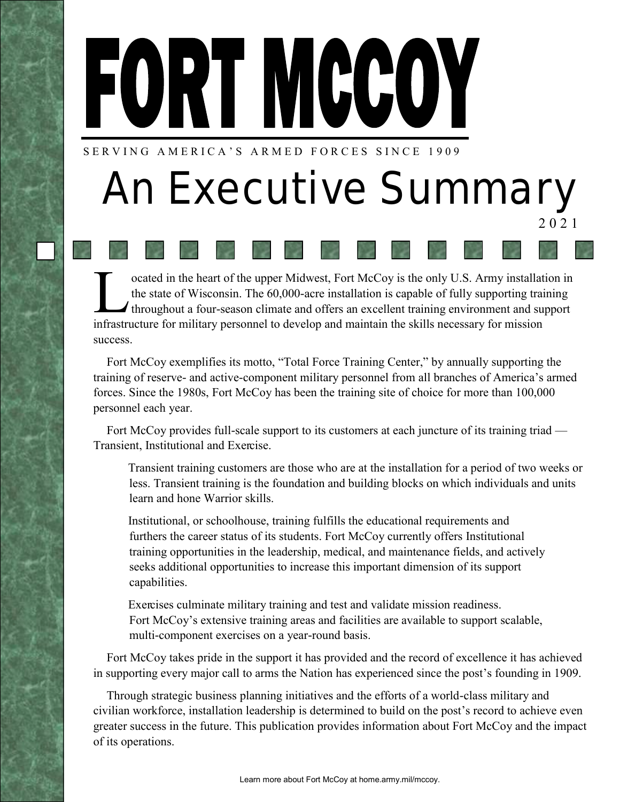# FORT MCCOY

SERVING AMERICA'S ARMED FORCES SINCE 1909

## *An Executive Summary* 2021

ocated in the heart of the upper Midwest, Fort McCoy is the only U.S. Army installat the state of Wisconsin. The 60,000-acre installation is capable of fully supporting traition throughout a four-season climate and offers ocated in the heart of the upper Midwest, Fort McCoy is the only U.S. Army installation in the state of Wisconsin. The 60,000-acre installation is capable of fully supporting training throughout a four-season climate and offers an excellent training environment and support success.

Fort McCoy exemplifies its motto, "Total Force Training Center," by annually supporting the training of reserve- and active-component military personnel from all branches of America's armed forces. Since the 1980s, Fort McCoy has been the training site of choice for more than 100,000 personnel each year.

Fort McCoy provides full-scale support to its customers at each juncture of its training triad — Transient, Institutional and Exercise.

Transient training customers are those who are at the installation for a period of two weeks or less. Transient training is the foundation and building blocks on which individuals and units learn and hone Warrior skills.

Institutional, or schoolhouse, training fulfills the educational requirements and furthers the career status of its students. Fort McCoy currently offers Institutional training opportunities in the leadership, medical, and maintenance fields, and actively seeks additional opportunities to increase this important dimension of its support capabilities.

Exercises culminate military training and test and validate mission readiness. Fort McCoy's extensive training areas and facilities are available to support scalable, multi-component exercises on a year-round basis.

Fort McCoy takes pride in the support it has provided and the record of excellence it has achieved in supporting every major call to arms the Nation has experienced since the post's founding in 1909.

Through strategic business planning initiatives and the efforts of a world-class military and civilian workforce, installation leadership is determined to build on the post's record to achieve even greater success in the future. This publication provides information about Fort McCoy and the impact of its operations.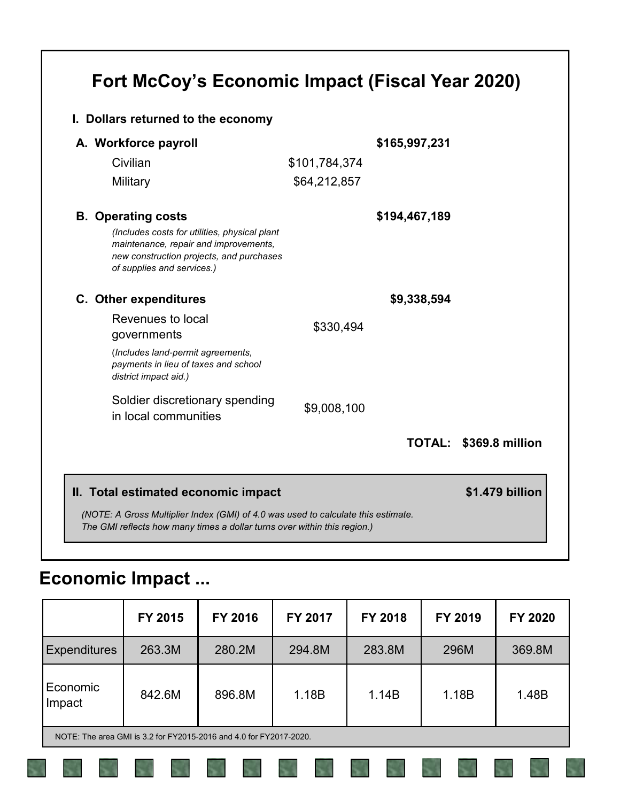#### **Fort McCoy's Economic Impact (Fiscal Year 2020)**

| I. Dollars returned to the economy                                                                                                                               |               |               |                        |
|------------------------------------------------------------------------------------------------------------------------------------------------------------------|---------------|---------------|------------------------|
| A. Workforce payroll                                                                                                                                             |               | \$165,997,231 |                        |
| Civilian                                                                                                                                                         | \$101,784,374 |               |                        |
| Military                                                                                                                                                         | \$64,212,857  |               |                        |
| <b>B.</b> Operating costs                                                                                                                                        |               | \$194,467,189 |                        |
| (Includes costs for utilities, physical plant<br>maintenance, repair and improvements,<br>new construction projects, and purchases<br>of supplies and services.) |               |               |                        |
| C. Other expenditures                                                                                                                                            |               | \$9,338,594   |                        |
| Revenues to local                                                                                                                                                | \$330,494     |               |                        |
| governments                                                                                                                                                      |               |               |                        |
| (Includes land-permit agreements,<br>payments in lieu of taxes and school<br>district impact aid.)                                                               |               |               |                        |
| Soldier discretionary spending<br>in local communities                                                                                                           | \$9,008,100   |               |                        |
|                                                                                                                                                                  |               |               | TOTAL: \$369.8 million |
|                                                                                                                                                                  |               |               | \$1.479 billion        |

#### **Economic Impact ...**

|                                                                    | FY 2015 | FY 2016 | FY 2017 | FY 2018 | FY 2019 | FY 2020 |
|--------------------------------------------------------------------|---------|---------|---------|---------|---------|---------|
| <b>Expenditures</b>                                                | 263.3M  | 280.2M  | 294.8M  | 283.8M  | 296M    | 369.8M  |
| Economic<br>Impact                                                 | 842.6M  | 896.8M  | 1.18B   | 1.14B   | 1.18B   | 1.48B   |
| NOTE: The area GMI is 3.2 for FY2015-2016 and 4.0 for FY2017-2020. |         |         |         |         |         |         |
|                                                                    |         |         |         |         |         |         |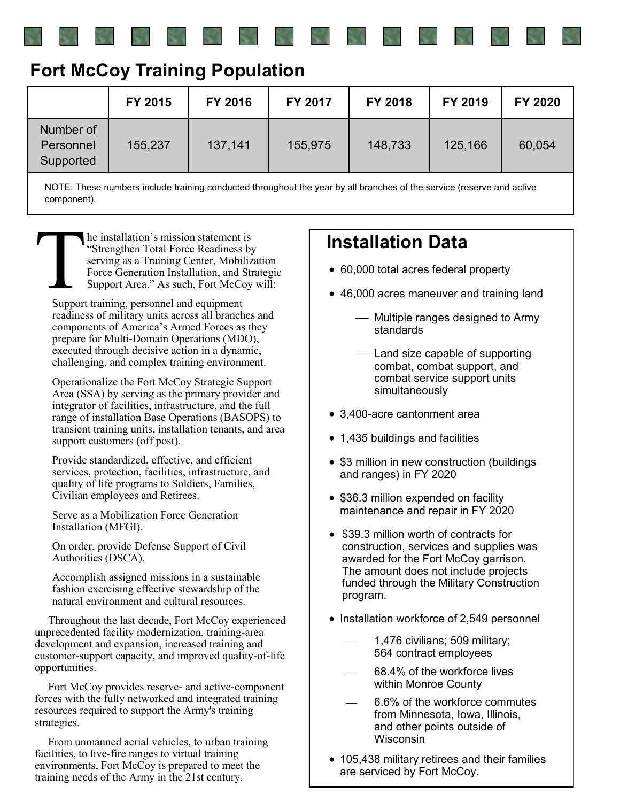| <b>Fort McCoy Training Population</b> |  |  |
|---------------------------------------|--|--|
|---------------------------------------|--|--|

|                                     | FY 2015 | FY 2016 | FY 2017 | FY 2018 | FY 2019 | FY 2020 |
|-------------------------------------|---------|---------|---------|---------|---------|---------|
| Number of<br>Personnel<br>Supported | 155,237 | 137,141 | 155,975 | 148,733 | 125,166 | 60,054  |

NOTE: These numbers include training conducted throughout the year by all branches of the service (reserve and active component).

 $\sum_{\text{Sunper}}$ he installation's mission statement is "Strengthen Total Force Readiness by serving as a Training Center, Mobilization Force Generation Installation, and Strategic Support Area." As such, Fort McCoy will:

Support training, personnel and equipment readiness of military units across all branches and components of America's Armed Forces as they prepare for Multi-Domain Operations (MDO), executed through decisive action in a dynamic, challenging, and complex training environment.

Operationalize the Fort McCoy Strategic Support Area (SSA) by serving as the primary provider and integrator of facilities, infrastructure, and the full range of installation Base Operations (BASOPS) to transient training units, installation tenants, and area support customers (off post).

Provide standardized, effective, and efficient services, protection, facilities, infrastructure, and quality of life programs to Soldiers, Families, Civilian employees and Retirees.

Serve as a Mobilization Force Generation Installation (MFGI).

On order, provide Defense Support of Civil Authorities (DSCA).

Accomplish assigned missions in a sustainable fashion exercising effective stewardship of the natural environment and cultural resources.

Throughout the last decade, Fort McCoy experienced unprecedented facility modernization, training-area development and expansion, increased training and customer-support capacity, and improved quality-of-life opportunities.

Fort McCoy provides reserve- and active-component forces with the fully networked and integrated training resources required to support the Army's training strategies.

From unmanned aerial vehicles, to urban training facilities, to live-fire ranges to virtual training environments, Fort McCoy is prepared to meet the training needs of the Army in the 21st century.

#### **Installation Data**

- 60,000 total acres federal property
- 46,000 acres maneuver and training land
	- Multiple ranges designed to Army standards
	- Land size capable of supporting combat, combat support, and combat service support units simultaneously
- 3,400-acre cantonment area
- 1,435 buildings and facilities
- \$3 million in new construction (buildings and ranges) in FY 2020
- \$36.3 million expended on facility maintenance and repair in FY 2020
- \$39.3 million worth of contracts for construction, services and supplies was awarded for the Fort McCoy garrison. The amount does not include projects funded through the Military Construction program.
- Installation workforce of 2,549 personnel
	- 1,476 civilians; 509 military; 564 contract employees
	- 68.4% of the workforce lives within Monroe County
	- 6.6% of the workforce commutes from Minnesota, Iowa, Illinois, and other points outside of **Wisconsin**
- 105,438 military retirees and their families are serviced by Fort McCoy.